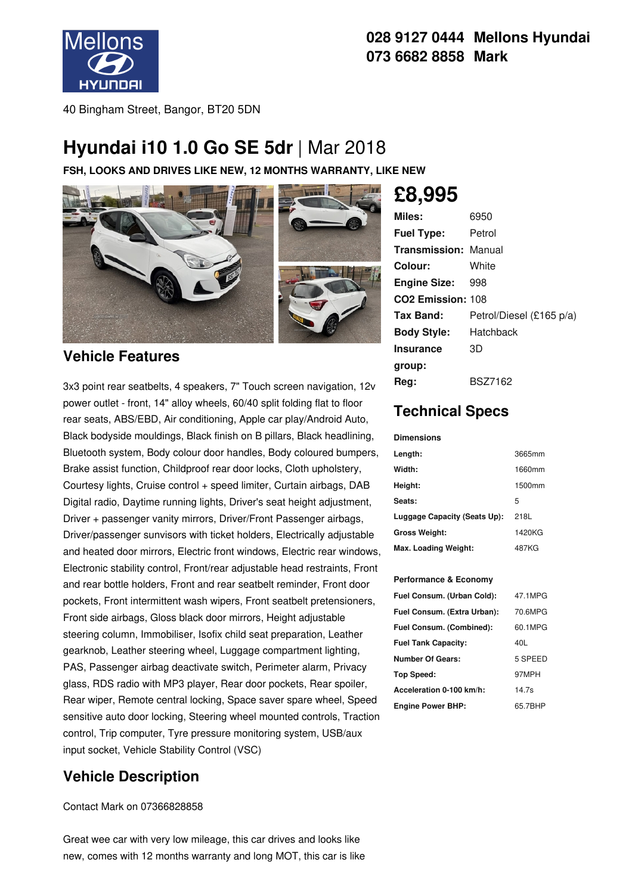

## **028 9127 0444 Mellons Hyundai 073 6682 8858 Mark**

40 Bingham Street, Bangor, BT20 5DN

## **Hyundai i10 1.0 Go SE 5dr** |Mar 2018

**FSH, LOOKS AND DRIVES LIKE NEW, 12 MONTHS WARRANTY, LIKE NEW**



### **Vehicle Features**

3x3 point rear seatbelts, 4 speakers, 7" Touch screen navigation, 12v power outlet - front, 14" alloy wheels, 60/40 split folding flat to floor rear seats, ABS/EBD, Air conditioning, Apple car play/Android Auto, Black bodyside mouldings, Black finish on B pillars, Black headlining, Bluetooth system, Body colour door handles, Body coloured bumpers, Brake assist function, Childproof rear door locks, Cloth upholstery, Courtesy lights, Cruise control + speed limiter, Curtain airbags, DAB Digital radio, Daytime running lights, Driver's seat height adjustment, Driver + passenger vanity mirrors, Driver/Front Passenger airbags, Driver/passenger sunvisors with ticket holders, Electrically adjustable and heated door mirrors, Electric front windows, Electric rear windows, Electronic stability control, Front/rear adjustable head restraints, Front and rear bottle holders, Front and rear seatbelt reminder, Front door pockets, Front intermittent wash wipers, Front seatbelt pretensioners, Front side airbags, Gloss black door mirrors, Height adjustable steering column, Immobiliser, Isofix child seat preparation, Leather gearknob, Leather steering wheel, Luggage compartment lighting, PAS, Passenger airbag deactivate switch, Perimeter alarm, Privacy glass, RDS radio with MP3 player, Rear door pockets, Rear spoiler, Rear wiper, Remote central locking, Space saver spare wheel, Speed sensitive auto door locking, Steering wheel mounted controls, Traction control, Trip computer, Tyre pressure monitoring system, USB/aux input socket, Vehicle Stability Control (VSC)

## **Vehicle Description**

Contact Mark on 07366828858

Great wee car with very low mileage, this car drives and looks like new, comes with 12 months warranty and long MOT, this car is like

# **£8,995**

| Miles:                        | 6950                     |
|-------------------------------|--------------------------|
| <b>Fuel Type:</b>             | Petrol                   |
| <b>Transmission: Manual</b>   |                          |
| Colour:                       | White                    |
| <b>Engine Size:</b>           | 998                      |
| CO <sub>2</sub> Emission: 108 |                          |
| Tax Band:                     | Petrol/Diesel (£165 p/a) |
| <b>Body Style:</b>            | Hatchback                |
| <b>Insurance</b>              | 3D                       |
| group:                        |                          |
| Reg:                          | <b>BSZ7162</b>           |

## **Technical Specs**

#### **Dimensions**

| Length:                      | 3665mm |
|------------------------------|--------|
| Width:                       | 1660mm |
| Height:                      | 1500mm |
| Seats:                       | 5      |
| Luggage Capacity (Seats Up): | 218L   |
| <b>Gross Weight:</b>         | 1420KG |
| Max. Loading Weight:         | 487KG  |

### **Performance & Economy**

| 47.1MPG |
|---------|
| 70.6MPG |
| 60.1MPG |
| 40L     |
| 5 SPEED |
| 97MPH   |
| 14.7s   |
| 65.7BHP |
|         |